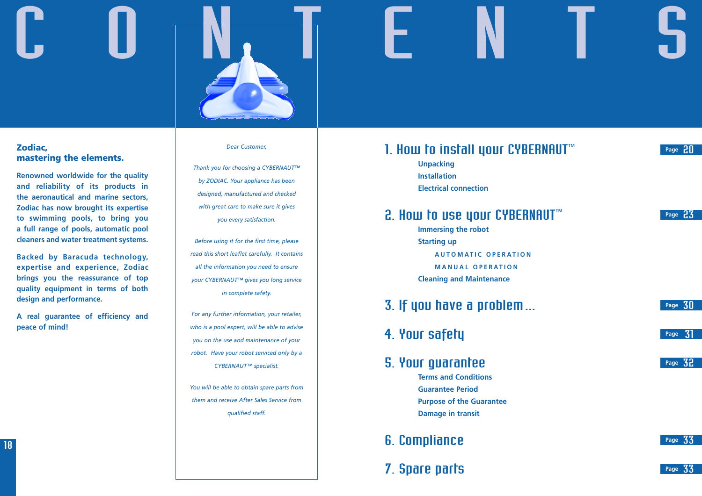# 1. How to install your CYBERNAUT™

**Unpacking Installation Electrical connection**

# 2. How to use your CYBERNAUT™

**Page** 23





**Immersing the robot Starting up AUTOMATIC OPERATION MANUAL OPERATION Cleaning and Maintenance**

# 3. If you have a problem ... **Page** 30

# 4. Your safety **Page** 31

# 5. Your guarantee **Page** 32

**Terms and Conditions Guarantee Period Purpose of the Guarantee Damage in transit** 

# **6. Compliance Page** 33

**7. Spare parts Page** 33

### *Dear Customer,*

*Thank you for choosing a CYBERNAUT™ by ZODIAC. Your appliance has been designed, manufactured and checked with great care to make sure it gives you every satisfaction.*

*Before using it for the first time, please read this short leaflet carefully. It contains all the information you need to ensure your CYBERNAUT™ gives you long service in complete safety.*

*For any further information, your retailer, who is a pool expert, will be able to advise you on the use and maintenance of your robot. Have your robot serviced only by a CYBERNAUT™ specialist.*

*You will be able to obtain spare parts from them and receive After Sales Service from qualified staff.*







**Page** 20

## **Zodiac, mastering the elements.**

**Renowned worldwide for the quality and reliability of its products in the aeronautical and marine sectors, Zodiac has now brought its expertise to swimming pools, to bring you a full range of pools, automatic pool cleaners and water treatment systems.**

**Backed by Baracuda technology, expertise and experience, Zodiac brings you the reassurance of top quality equipment in terms of both design and performance.** 

**A real guarantee of efficiency and peace of mind!**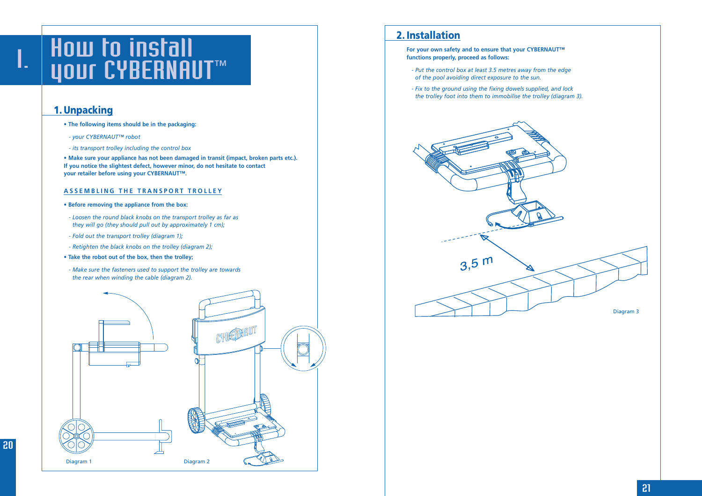# **2. Installation**

**For your own safety and to ensure that your CYBERNAUT™ functions properly, proceed as follows:**

- *Put the control box at least 3.5 metres away from the edge of the pool avoiding direct exposure to the sun.*
- *Fix to the ground using the fixing dowels supplied, and lock the trolley foot into them to immobilise the trolley (diagram 3).*

21

# **1. Unpacking**

- **The following items should be in the packaging:**
- *your CYBERNAUT™ robot*
- *its transport trolley including the control box*

# I. How to install now ro Install<br>your CyBERNAUT™

**• Make sure your appliance has not been damaged in transit (impact, broken parts etc.). If you notice the slightest defect, however minor, do not hesitate to contact your retailer before using your CYBERNAUT™.**

## **ASSEMBLING THE TRANSPORT TROLLEY**

- **Before removing the appliance from the box:**
- *Loosen the round black knobs on the transport trolley as far as they will go (they should pull out by approximately 1 cm);*
- *Fold out the transport trolley (diagram 1);*
- *Retighten the black knobs on the trolley (diagram 2);*
- **Take the robot out of the box, then the trolley;**
- *Make sure the fasteners used to support the trolley are towards the rear when winding the cable (diagram 2).*



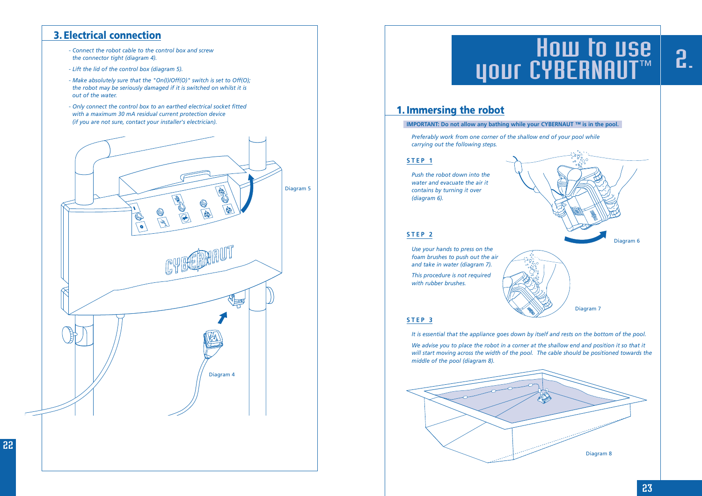# **3. Electrical connection**

- *Connect the robot cable to the control box and screw the connector tight (diagram 4).*
- *Lift the lid of the control box (diagram 5).*
- *Make absolutely sure that the "On(I)/Off(O)" switch is set to Off(O); the robot may be seriously damaged if it is switched on whilst it is out of the water.*
- *Only connect the control box to an earthed electrical socket fitted with a maximum 30 mA residual current protection device (if you are not sure, contact your installer's electrician).*

# **1. Immersing the robot**



*carrying out the following steps.*

*and take in water (diagram 7).*

# How to use 2. your CYBERNAUT™



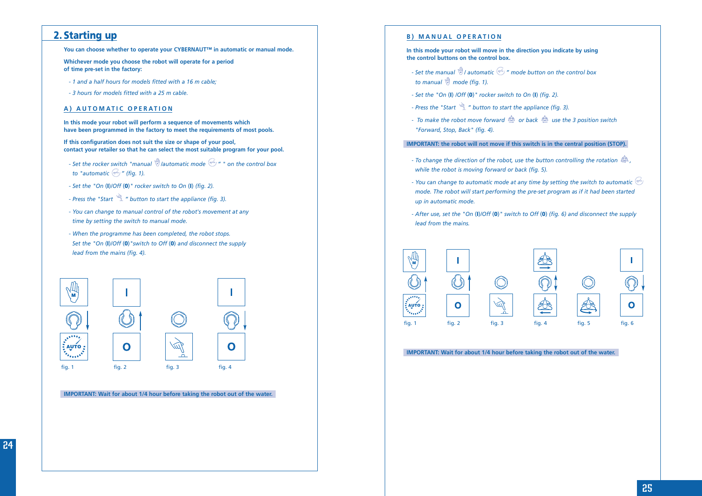# 25

## **B) MANUAL OPERATION**

**In this mode your robot will move in the direction you indicate by using the control buttons on the control box.**

- *Set the manual / automatic " mode button on the control box*  to manual  $\sqrt[10]{m}$  mode (fig. 1).
- *Set the "On* (**I**) */Off* (**0**)*" rocker switch to On* (**I**) *(fig. 2).*
- *Press the "Start*  $\mathbb{R}^N$  *" button to start the appliance (fig. 3).*
- *"Forward, Stop, Back" (fig. 4).*



- *while the robot is moving forward or back (fig. 5).*
- *mode. The robot will start performing the pre-set program as if it had been started up in automatic mode.*
- *lead from the mains.*

# **2. Starting up**

**You can choose whether to operate your CYBERNAUT™ in automatic or manual mode.**

**Whichever mode you choose the robot will operate for a period of time pre-set in the factory:**

- *1 and a half hours for models fitted with a 16 m cable;*
- *3 hours for models fitted with a 25 m cable.*

## **A) AUTOMATIC OPERATION**

**In this mode your robot will perform a sequence of movements which have been programmed in the factory to meet the requirements of most pools.**

**If this configuration does not suit the size or shape of your pool, contact your retailer so that he can select the most suitable program for your pool.**

- *Set the rocker switch "manual /automatic mode " " on the control box to "automatic " (fig. 1).*
- *Set the "On* (**I**)*/Off* (**0**)*" rocker switch to On* (**I**) *(fig. 2).*
- *Press the "Start*  $\mathbb{R}^2$  *" button to start the appliance (fig. 3).*
- *You can change to manual control of the robot's movement at any time by setting the switch to manual mode.*
- *When the programme has been completed, the robot stops. Set the "On* (**I**)*/Off* (**0**)*"switch to Off* (**0**) *and disconnect the supply lead from the mains (fig. 4).*



**IMPORTANT: Wait for about 1/4 hour before taking the robot out of the water.** 



**IMPORTANT: Wait for about 1/4 hour before taking the robot out of the water.**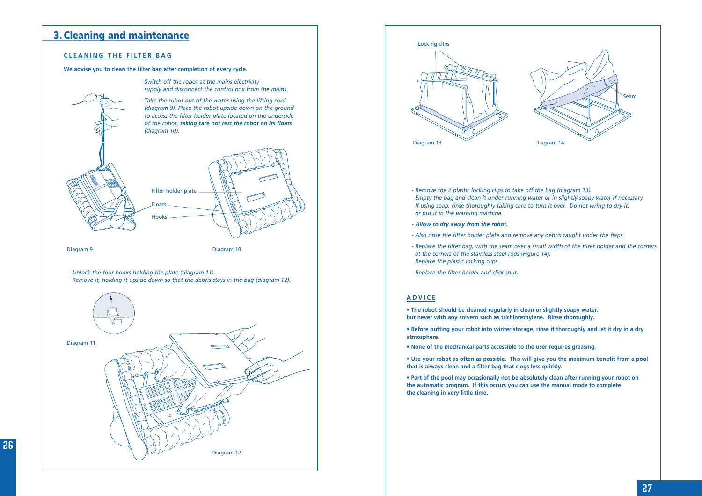## **ADVICE**



- 
- 
- 
- 
- 

**• The robot should be cleaned regularly in clean or slightly soapy water, but never with any solvent such as trichlorethylene. Rinse thoroughly.**

**• Before putting your robot into winter storage, rinse it thoroughly and let it dry in a dry atmosphere.**

**• None of the mechanical parts accessible to the user requires greasing.**

**• Use your robot as often as possible. This will give you the maximum benefit from a pool that is always clean and a filter bag that clogs less quickly.**

**• Part of the pool may occasionally not be absolutely clean after running your robot on the automatic program. If this occurs you can use the manual mode to complete the cleaning in very little time.**

## **3. Cleaning and maintenance**

## **CLEANING THE FILTER BAG**

**We advise you to clean the filter bag after completion of every cycle.**

*- Switch off the robot at the mains electricity supply and disconnect the control box from the mains.*

*- Take the robot out of the water using the lifting cord (diagram 9). Place the robot upside-down on the ground to access the filter holder plate located on the underside of the robot, taking care not rest the robot on its floats (diagram 10).*



*- Unlock the four hooks holding the plate (diagram 11). Remove it, holding it upside down so that the debris stays in the bag (diagram 12).*

Diagram 9 Diagram 10



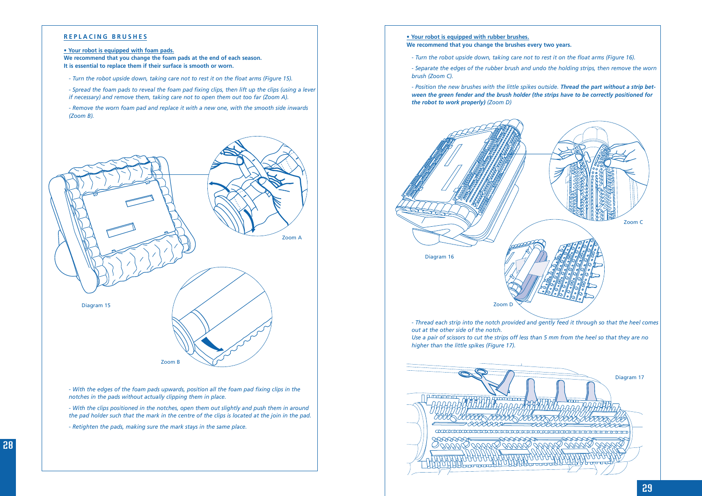



## **REPLACING BRUSHES**

**• Your robot is equipped with foam pads.**

**We recommend that you change the foam pads at the end of each season. It is essential to replace them if their surface is smooth or worn.**

*- Turn the robot upside down, taking care not to rest it on the float arms (Figure 15).*

*- Spread the foam pads to reveal the foam pad fixing clips, then lift up the clips (using a lever if necessary) and remove them, taking care not to open them out too far (Zoom A).*

*- Remove the worn foam pad and replace it with a new one, with the smooth side inwards (Zoom B).*

*- With the edges of the foam pads upwards, position all the foam pad fixing clips in the notches in the pads without actually clipping them in place.*

*- With the clips positioned in the notches, open them out slightly and push them in around the pad holder such that the mark in the centre of the clips is located at the join in the pad.*

*- Retighten the pads, making sure the mark stays in the same place.*

- 
- 

28

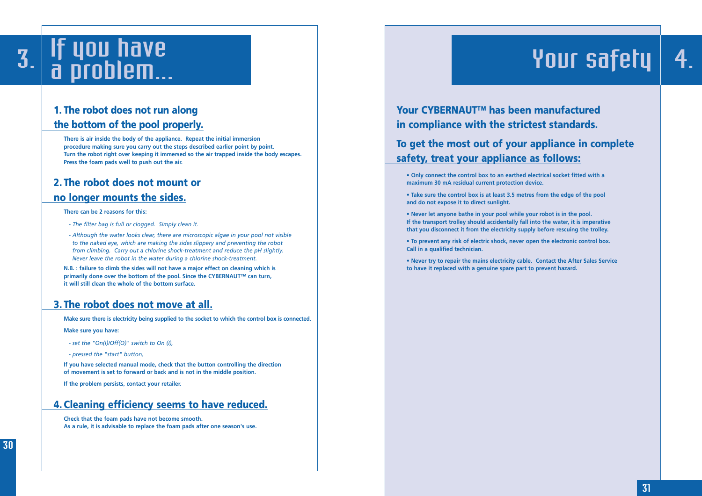# **Your CYBERNAUT™ has been manufactured in compliance with the strictest standards. To get the most out of your appliance in complete safety, treat your appliance as follows:**

- **Only connect the control box to an earthed electrical socket fitted with a maximum 30 mA residual current protection device.**
- **Take sure the control box is at least 3.5 metres from the edge of the pool and do not expose it to direct sunlight.**
- **Never let anyone bathe in your pool while your robot is in the pool. If the transport trolley should accidentally fall into the water, it is imperative that you disconnect it from the electricity supply before rescuing the trolley.**
- **To prevent any risk of electric shock, never open the electronic control box. Call in a qualified technician.**
- **Never try to repair the mains electricity cable. Contact the After Sales Service to have it replaced with a genuine spare part to prevent hazard.**

# **1. The robot does not run along the bottom of the pool properly.**

**There is air inside the body of the appliance. Repeat the initial immersion procedure making sure you carry out the steps described earlier point by point. Turn the robot right over keeping it immersed so the air trapped inside the body escapes. Press the foam pads well to push out the air.**

# 3. If you have lf you have strategies and the settlement of the settlement of the settlement of the settlement of the set of <br>If you have settlement of the settlement of the settlement of the settlement of the settlement of the settleme<br>

# **2. The robot does not mount or no longer mounts the sides.**

**There can be 2 reasons for this:**

- *The filter bag is full or clogged. Simply clean it.*
- *Although the water looks clear, there are microscopic algae in your pool not visible to the naked eye, which are making the sides slippery and preventing the robot from climbing. Carry out a chlorine shock-treatment and reduce the pH slightly. Never leave the robot in the water during a chlorine shock-treatment.*

**N.B. : failure to climb the sides will not have a major effect on cleaning which is primarily done over the bottom of the pool. Since the CYBERNAUT™ can turn, it will still clean the whole of the bottom surface.**

# **3. The robot does not move at all.**

**Make sure there is electricity being supplied to the socket to which the control box is connected.**

**Make sure you have:**

- *set the "On(I)/Off(O)" switch to On (I),*
- *pressed the "start" button,*

**If you have selected manual mode, check that the button controlling the direction of movement is set to forward or back and is not in the middle position.**

**If the problem persists, contact your retailer.**

# **4. Cleaning efficiency seems to have reduced.**

**Check that the foam pads have not become smooth. As a rule, it is advisable to replace the foam pads after one season's use.**

# 31